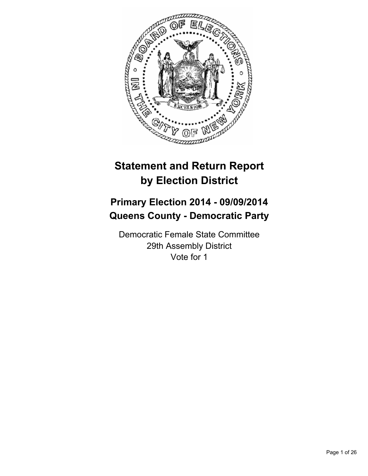

# **Statement and Return Report by Election District**

# **Primary Election 2014 - 09/09/2014 Queens County - Democratic Party**

Democratic Female State Committee 29th Assembly District Vote for 1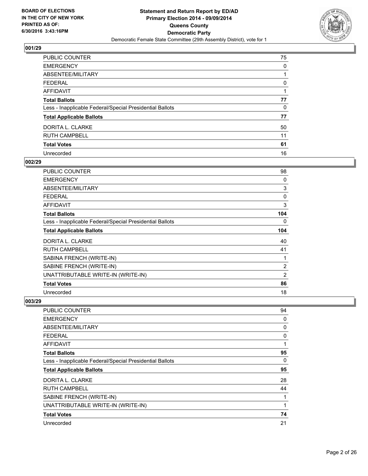

| <b>PUBLIC COUNTER</b>                                    | 75 |
|----------------------------------------------------------|----|
| <b>EMERGENCY</b>                                         | 0  |
| ABSENTEE/MILITARY                                        |    |
| <b>FEDERAL</b>                                           | 0  |
| <b>AFFIDAVIT</b>                                         |    |
| <b>Total Ballots</b>                                     | 77 |
| Less - Inapplicable Federal/Special Presidential Ballots | 0  |
| <b>Total Applicable Ballots</b>                          | 77 |
| DORITA L. CLARKE                                         | 50 |
| <b>RUTH CAMPBELL</b>                                     | 11 |
| <b>Total Votes</b>                                       | 61 |
| Unrecorded                                               | 16 |

## **002/29**

| <b>PUBLIC COUNTER</b>                                    | 98  |
|----------------------------------------------------------|-----|
| <b>EMERGENCY</b>                                         | 0   |
| ABSENTEE/MILITARY                                        | 3   |
| <b>FEDERAL</b>                                           | 0   |
| <b>AFFIDAVIT</b>                                         | 3   |
| <b>Total Ballots</b>                                     | 104 |
| Less - Inapplicable Federal/Special Presidential Ballots | 0   |
| <b>Total Applicable Ballots</b>                          | 104 |
| DORITA L. CLARKE                                         | 40  |
| <b>RUTH CAMPBELL</b>                                     | 41  |
| SABINA FRENCH (WRITE-IN)                                 | 1   |
| SABINE FRENCH (WRITE-IN)                                 | 2   |
| UNATTRIBUTABLE WRITE-IN (WRITE-IN)                       | 2   |
| <b>Total Votes</b>                                       | 86  |
| Unrecorded                                               | 18  |

| <b>PUBLIC COUNTER</b>                                    | 94 |
|----------------------------------------------------------|----|
| <b>EMERGENCY</b>                                         | 0  |
| ABSENTEE/MILITARY                                        | 0  |
| <b>FEDERAL</b>                                           | 0  |
| <b>AFFIDAVIT</b>                                         | 1  |
| <b>Total Ballots</b>                                     | 95 |
| Less - Inapplicable Federal/Special Presidential Ballots | 0  |
| <b>Total Applicable Ballots</b>                          | 95 |
| DORITA L. CLARKE                                         | 28 |
| <b>RUTH CAMPBELL</b>                                     | 44 |
| SABINE FRENCH (WRITE-IN)                                 | 1  |
| UNATTRIBUTABLE WRITE-IN (WRITE-IN)                       | 1  |
| <b>Total Votes</b>                                       | 74 |
| Unrecorded                                               | 21 |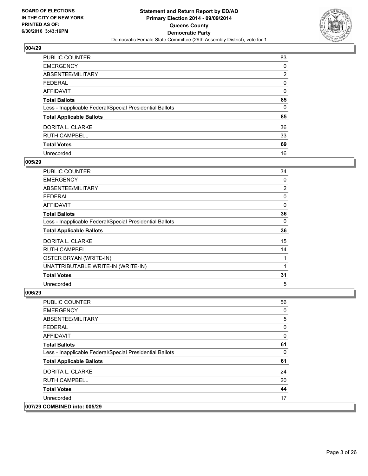

| <b>PUBLIC COUNTER</b>                                    | 83 |
|----------------------------------------------------------|----|
| <b>EMERGENCY</b>                                         | 0  |
| ABSENTEE/MILITARY                                        | 2  |
| <b>FEDERAL</b>                                           | 0  |
| <b>AFFIDAVIT</b>                                         | 0  |
| <b>Total Ballots</b>                                     | 85 |
| Less - Inapplicable Federal/Special Presidential Ballots | 0  |
| <b>Total Applicable Ballots</b>                          | 85 |
| DORITA L. CLARKE                                         | 36 |
| <b>RUTH CAMPBELL</b>                                     | 33 |
| <b>Total Votes</b>                                       | 69 |
| Unrecorded                                               | 16 |

#### **005/29**

| <b>PUBLIC COUNTER</b>                                    | 34 |
|----------------------------------------------------------|----|
| <b>EMERGENCY</b>                                         | 0  |
| ABSENTEE/MILITARY                                        | 2  |
| <b>FEDERAL</b>                                           | 0  |
| AFFIDAVIT                                                | 0  |
| <b>Total Ballots</b>                                     | 36 |
| Less - Inapplicable Federal/Special Presidential Ballots | 0  |
| <b>Total Applicable Ballots</b>                          | 36 |
| DORITA L. CLARKE                                         | 15 |
| <b>RUTH CAMPBELL</b>                                     | 14 |
| OSTER BRYAN (WRITE-IN)                                   |    |
| UNATTRIBUTABLE WRITE-IN (WRITE-IN)                       | 1  |
| <b>Total Votes</b>                                       | 31 |
| Unrecorded                                               | 5  |

| <b>PUBLIC COUNTER</b>                                    | 56 |
|----------------------------------------------------------|----|
| <b>EMERGENCY</b>                                         | 0  |
| ABSENTEE/MILITARY                                        | 5  |
| <b>FEDERAL</b>                                           | 0  |
| <b>AFFIDAVIT</b>                                         | 0  |
| <b>Total Ballots</b>                                     | 61 |
| Less - Inapplicable Federal/Special Presidential Ballots | 0  |
| <b>Total Applicable Ballots</b>                          | 61 |
| DORITA L. CLARKE                                         | 24 |
| <b>RUTH CAMPBELL</b>                                     | 20 |
| <b>Total Votes</b>                                       | 44 |
| Unrecorded                                               | 17 |
| 007/29 COMBINED into: 005/29                             |    |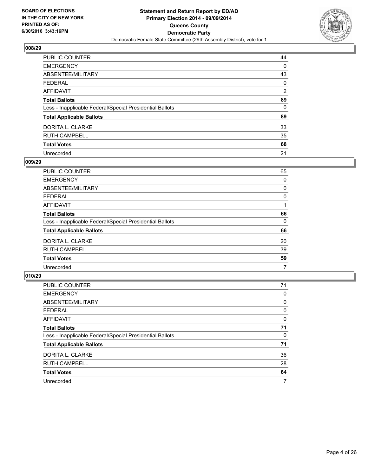

| <b>PUBLIC COUNTER</b>                                    | 44             |
|----------------------------------------------------------|----------------|
| <b>EMERGENCY</b>                                         | 0              |
| ABSENTEE/MILITARY                                        | 43             |
| <b>FEDERAL</b>                                           | 0              |
| <b>AFFIDAVIT</b>                                         | $\overline{2}$ |
| <b>Total Ballots</b>                                     | 89             |
| Less - Inapplicable Federal/Special Presidential Ballots | 0              |
| <b>Total Applicable Ballots</b>                          | 89             |
| DORITA L. CLARKE                                         | 33             |
| <b>RUTH CAMPBELL</b>                                     | 35             |
| <b>Total Votes</b>                                       | 68             |
| Unrecorded                                               | 21             |

#### **009/29**

| PUBLIC COUNTER                                           | 65 |
|----------------------------------------------------------|----|
| <b>EMERGENCY</b>                                         | 0  |
| ABSENTEE/MILITARY                                        | 0  |
| <b>FEDERAL</b>                                           | 0  |
| <b>AFFIDAVIT</b>                                         |    |
| <b>Total Ballots</b>                                     | 66 |
| Less - Inapplicable Federal/Special Presidential Ballots | 0  |
| <b>Total Applicable Ballots</b>                          | 66 |
| DORITA L. CLARKE                                         | 20 |
| <b>RUTH CAMPBELL</b>                                     | 39 |
| <b>Total Votes</b>                                       | 59 |
| Unrecorded                                               | 7  |
|                                                          |    |

| PUBLIC COUNTER                                           | 71 |
|----------------------------------------------------------|----|
| <b>EMERGENCY</b>                                         | 0  |
| ABSENTEE/MILITARY                                        | 0  |
| <b>FEDERAL</b>                                           | 0  |
| AFFIDAVIT                                                | 0  |
| <b>Total Ballots</b>                                     | 71 |
| Less - Inapplicable Federal/Special Presidential Ballots | 0  |
| <b>Total Applicable Ballots</b>                          | 71 |
| DORITA L. CLARKE                                         | 36 |
| <b>RUTH CAMPBELL</b>                                     | 28 |
| <b>Total Votes</b>                                       | 64 |
| Unrecorded                                               | 7  |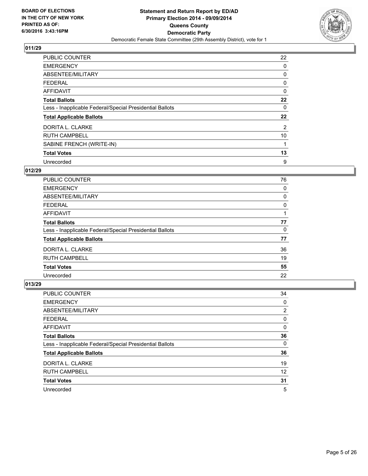

| <b>PUBLIC COUNTER</b>                                    | 22 |
|----------------------------------------------------------|----|
| <b>EMERGENCY</b>                                         | 0  |
| ABSENTEE/MILITARY                                        | 0  |
| <b>FEDERAL</b>                                           | 0  |
| <b>AFFIDAVIT</b>                                         | 0  |
| <b>Total Ballots</b>                                     | 22 |
| Less - Inapplicable Federal/Special Presidential Ballots | 0  |
| <b>Total Applicable Ballots</b>                          | 22 |
| DORITA L. CLARKE                                         | 2  |
| <b>RUTH CAMPBELL</b>                                     | 10 |
| SABINE FRENCH (WRITE-IN)                                 |    |
| <b>Total Votes</b>                                       | 13 |
| Unrecorded                                               | 9  |

# **012/29**

| <b>PUBLIC COUNTER</b>                                    | 76 |
|----------------------------------------------------------|----|
| <b>EMERGENCY</b>                                         | 0  |
| ABSENTEE/MILITARY                                        | 0  |
| <b>FEDERAL</b>                                           | 0  |
| AFFIDAVIT                                                |    |
| <b>Total Ballots</b>                                     | 77 |
| Less - Inapplicable Federal/Special Presidential Ballots | 0  |
| <b>Total Applicable Ballots</b>                          | 77 |
| DORITA L. CLARKE                                         | 36 |
| <b>RUTH CAMPBELL</b>                                     | 19 |
| <b>Total Votes</b>                                       | 55 |
| Unrecorded                                               | 22 |

| PUBLIC COUNTER                                           | 34             |
|----------------------------------------------------------|----------------|
| <b>EMERGENCY</b>                                         | 0              |
| ABSENTEE/MILITARY                                        | $\overline{2}$ |
| <b>FEDERAL</b>                                           | 0              |
| AFFIDAVIT                                                | 0              |
| <b>Total Ballots</b>                                     | 36             |
| Less - Inapplicable Federal/Special Presidential Ballots | 0              |
| <b>Total Applicable Ballots</b>                          | 36             |
| DORITA L. CLARKE                                         | 19             |
| <b>RUTH CAMPBELL</b>                                     | 12             |
| <b>Total Votes</b>                                       | 31             |
| Unrecorded                                               | 5              |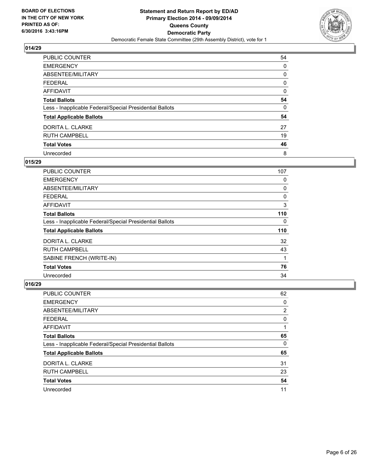

| <b>PUBLIC COUNTER</b>                                    | 54 |
|----------------------------------------------------------|----|
| <b>EMERGENCY</b>                                         | 0  |
| ABSENTEE/MILITARY                                        | 0  |
| <b>FEDERAL</b>                                           | 0  |
| <b>AFFIDAVIT</b>                                         | 0  |
| <b>Total Ballots</b>                                     | 54 |
| Less - Inapplicable Federal/Special Presidential Ballots | 0  |
| <b>Total Applicable Ballots</b>                          | 54 |
| DORITA L. CLARKE                                         | 27 |
| <b>RUTH CAMPBELL</b>                                     | 19 |
| <b>Total Votes</b>                                       | 46 |
| Unrecorded                                               | 8  |

## **015/29**

| <b>PUBLIC COUNTER</b>                                    | 107 |
|----------------------------------------------------------|-----|
| <b>EMERGENCY</b>                                         | 0   |
| ABSENTEE/MILITARY                                        | 0   |
| <b>FEDERAL</b>                                           | 0   |
| AFFIDAVIT                                                | 3   |
| <b>Total Ballots</b>                                     | 110 |
| Less - Inapplicable Federal/Special Presidential Ballots | 0   |
| <b>Total Applicable Ballots</b>                          | 110 |
| DORITA L. CLARKE                                         | 32  |
| <b>RUTH CAMPBELL</b>                                     | 43  |
| SABINE FRENCH (WRITE-IN)                                 | 1   |
| <b>Total Votes</b>                                       | 76  |
| Unrecorded                                               | 34  |

| <b>PUBLIC COUNTER</b>                                    | 62                    |
|----------------------------------------------------------|-----------------------|
| <b>EMERGENCY</b>                                         | 0                     |
| ABSENTEE/MILITARY                                        | $\mathbf{2}^{\prime}$ |
| FEDERAL                                                  | 0                     |
| AFFIDAVIT                                                |                       |
| <b>Total Ballots</b>                                     | 65                    |
| Less - Inapplicable Federal/Special Presidential Ballots | 0                     |
| <b>Total Applicable Ballots</b>                          | 65                    |
| DORITA L. CLARKE                                         | 31                    |
| <b>RUTH CAMPBELL</b>                                     | 23                    |
| <b>Total Votes</b>                                       | 54                    |
| Unrecorded                                               | 11                    |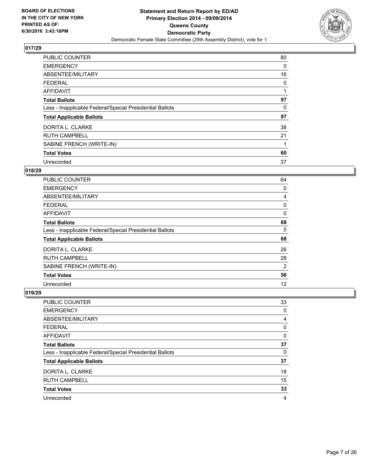

| <b>PUBLIC COUNTER</b>                                    | 80 |
|----------------------------------------------------------|----|
| <b>EMERGENCY</b>                                         | 0  |
| ABSENTEE/MILITARY                                        | 16 |
| <b>FEDERAL</b>                                           | 0  |
| <b>AFFIDAVIT</b>                                         |    |
| <b>Total Ballots</b>                                     | 97 |
| Less - Inapplicable Federal/Special Presidential Ballots | 0  |
| <b>Total Applicable Ballots</b>                          | 97 |
| DORITA L. CLARKE                                         | 38 |
| <b>RUTH CAMPBELL</b>                                     | 21 |
| SABINE FRENCH (WRITE-IN)                                 |    |
| <b>Total Votes</b>                                       | 60 |
| Unrecorded                                               | 37 |

## **018/29**

| <b>PUBLIC COUNTER</b>                                    | 64 |
|----------------------------------------------------------|----|
| <b>EMERGENCY</b>                                         | 0  |
| ABSENTEE/MILITARY                                        | 4  |
| <b>FEDERAL</b>                                           | 0  |
| <b>AFFIDAVIT</b>                                         | 0  |
| <b>Total Ballots</b>                                     | 68 |
| Less - Inapplicable Federal/Special Presidential Ballots | 0  |
| <b>Total Applicable Ballots</b>                          | 68 |
| DORITA L. CLARKE                                         | 26 |
| <b>RUTH CAMPBELL</b>                                     | 28 |
| SABINE FRENCH (WRITE-IN)                                 | 2  |
| <b>Total Votes</b>                                       | 56 |
| Unrecorded                                               | 12 |

| <b>PUBLIC COUNTER</b>                                    | 33 |
|----------------------------------------------------------|----|
| <b>EMERGENCY</b>                                         | 0  |
| ABSENTEE/MILITARY                                        | 4  |
| <b>FEDERAL</b>                                           | 0  |
| <b>AFFIDAVIT</b>                                         | 0  |
| <b>Total Ballots</b>                                     | 37 |
| Less - Inapplicable Federal/Special Presidential Ballots | 0  |
| <b>Total Applicable Ballots</b>                          | 37 |
| DORITA L. CLARKE                                         | 18 |
| <b>RUTH CAMPBELL</b>                                     | 15 |
| <b>Total Votes</b>                                       | 33 |
| Unrecorded                                               | 4  |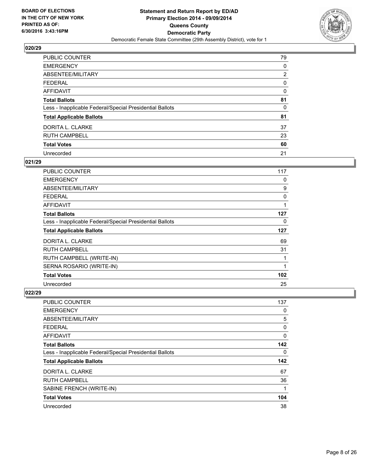

| <b>PUBLIC COUNTER</b>                                    | 79 |
|----------------------------------------------------------|----|
| <b>EMERGENCY</b>                                         | 0  |
| ABSENTEE/MILITARY                                        | 2  |
| <b>FEDERAL</b>                                           | 0  |
| AFFIDAVIT                                                | 0  |
| <b>Total Ballots</b>                                     | 81 |
| Less - Inapplicable Federal/Special Presidential Ballots | 0  |
| <b>Total Applicable Ballots</b>                          | 81 |
| DORITA L. CLARKE                                         | 37 |
| <b>RUTH CAMPBELL</b>                                     | 23 |
| <b>Total Votes</b>                                       | 60 |
| Unrecorded                                               | 21 |

#### **021/29**

| PUBLIC COUNTER                                           | 117 |
|----------------------------------------------------------|-----|
| <b>EMERGENCY</b>                                         | 0   |
| ABSENTEE/MILITARY                                        | 9   |
| <b>FEDERAL</b>                                           | 0   |
| AFFIDAVIT                                                | 1   |
| <b>Total Ballots</b>                                     | 127 |
| Less - Inapplicable Federal/Special Presidential Ballots | 0   |
|                                                          |     |
| <b>Total Applicable Ballots</b>                          | 127 |
| DORITA L. CLARKE                                         | 69  |
| <b>RUTH CAMPBELL</b>                                     | 31  |
| RUTH CAMPBELL (WRITE-IN)                                 |     |
| SERNA ROSARIO (WRITE-IN)                                 | 1   |
| <b>Total Votes</b>                                       | 102 |

| PUBLIC COUNTER                                           | 137 |
|----------------------------------------------------------|-----|
| <b>EMERGENCY</b>                                         | 0   |
| ABSENTEE/MILITARY                                        | 5   |
| <b>FEDERAL</b>                                           | 0   |
| AFFIDAVIT                                                | 0   |
| <b>Total Ballots</b>                                     | 142 |
| Less - Inapplicable Federal/Special Presidential Ballots | 0   |
| <b>Total Applicable Ballots</b>                          | 142 |
| DORITA L. CLARKE                                         | 67  |
| <b>RUTH CAMPBELL</b>                                     | 36  |
| SABINE FRENCH (WRITE-IN)                                 | 1   |
| <b>Total Votes</b>                                       | 104 |
| Unrecorded                                               | 38  |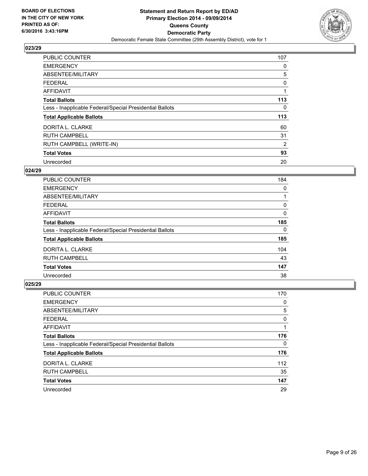

| <b>PUBLIC COUNTER</b>                                    | 107 |
|----------------------------------------------------------|-----|
| <b>EMERGENCY</b>                                         | 0   |
| ABSENTEE/MILITARY                                        | 5   |
| <b>FEDERAL</b>                                           | 0   |
| AFFIDAVIT                                                |     |
| <b>Total Ballots</b>                                     | 113 |
| Less - Inapplicable Federal/Special Presidential Ballots | 0   |
| <b>Total Applicable Ballots</b>                          | 113 |
| DORITA L. CLARKE                                         | 60  |
| <b>RUTH CAMPBELL</b>                                     | 31  |
| RUTH CAMPBELL (WRITE-IN)                                 | 2   |
| <b>Total Votes</b>                                       | 93  |
| Unrecorded                                               | 20  |

## **024/29**

| <b>PUBLIC COUNTER</b>                                    | 184 |
|----------------------------------------------------------|-----|
| <b>EMERGENCY</b>                                         | 0   |
| ABSENTEE/MILITARY                                        |     |
| <b>FEDERAL</b>                                           | 0   |
| AFFIDAVIT                                                | 0   |
| <b>Total Ballots</b>                                     | 185 |
| Less - Inapplicable Federal/Special Presidential Ballots | 0   |
| <b>Total Applicable Ballots</b>                          | 185 |
| DORITA L. CLARKE                                         | 104 |
| <b>RUTH CAMPBELL</b>                                     | 43  |
| <b>Total Votes</b>                                       | 147 |
| Unrecorded                                               | 38  |

| <b>PUBLIC COUNTER</b>                                    | 170 |
|----------------------------------------------------------|-----|
| <b>EMERGENCY</b>                                         | 0   |
| ABSENTEE/MILITARY                                        | 5   |
| <b>FEDERAL</b>                                           | 0   |
| AFFIDAVIT                                                |     |
| <b>Total Ballots</b>                                     | 176 |
| Less - Inapplicable Federal/Special Presidential Ballots | 0   |
| <b>Total Applicable Ballots</b>                          | 176 |
| DORITA L. CLARKE                                         | 112 |
| <b>RUTH CAMPBELL</b>                                     | 35  |
| <b>Total Votes</b>                                       | 147 |
| Unrecorded                                               | 29  |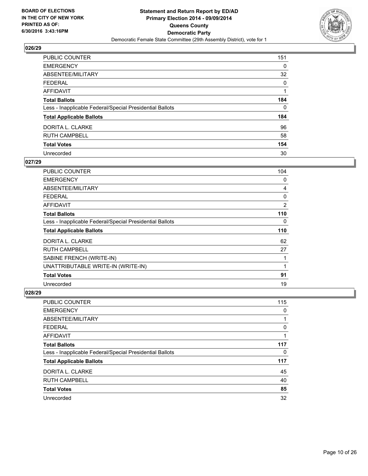

| <b>PUBLIC COUNTER</b>                                    | 151 |
|----------------------------------------------------------|-----|
| <b>EMERGENCY</b>                                         | 0   |
| ABSENTEE/MILITARY                                        | 32  |
| <b>FEDERAL</b>                                           | 0   |
| <b>AFFIDAVIT</b>                                         |     |
| <b>Total Ballots</b>                                     | 184 |
| Less - Inapplicable Federal/Special Presidential Ballots | 0   |
| <b>Total Applicable Ballots</b>                          | 184 |
| DORITA L. CLARKE                                         | 96  |
| <b>RUTH CAMPBELL</b>                                     | 58  |
| <b>Total Votes</b>                                       | 154 |
| Unrecorded                                               | 30  |

#### **027/29**

| <b>PUBLIC COUNTER</b>                                    | 104 |
|----------------------------------------------------------|-----|
| <b>EMERGENCY</b>                                         | 0   |
| ABSENTEE/MILITARY                                        | 4   |
| <b>FEDERAL</b>                                           | 0   |
| AFFIDAVIT                                                | 2   |
| <b>Total Ballots</b>                                     | 110 |
| Less - Inapplicable Federal/Special Presidential Ballots | 0   |
| <b>Total Applicable Ballots</b>                          | 110 |
| DORITA L. CLARKE                                         | 62  |
| <b>RUTH CAMPBELL</b>                                     | 27  |
| SABINE FRENCH (WRITE-IN)                                 | 1   |
| UNATTRIBUTABLE WRITE-IN (WRITE-IN)                       | 1   |
| <b>Total Votes</b>                                       | 91  |
| Unrecorded                                               | 19  |

| <b>PUBLIC COUNTER</b>                                    | 115 |
|----------------------------------------------------------|-----|
| <b>EMERGENCY</b>                                         | 0   |
| ABSENTEE/MILITARY                                        |     |
| FEDERAL                                                  | 0   |
| AFFIDAVIT                                                |     |
| <b>Total Ballots</b>                                     | 117 |
| Less - Inapplicable Federal/Special Presidential Ballots | 0   |
| <b>Total Applicable Ballots</b>                          | 117 |
| DORITA L. CLARKE                                         | 45  |
| <b>RUTH CAMPBELL</b>                                     | 40  |
| <b>Total Votes</b>                                       | 85  |
| Unrecorded                                               | 32  |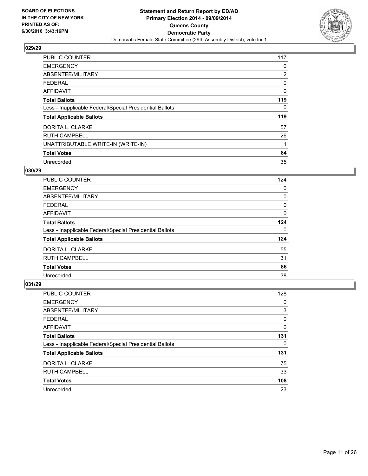

| <b>PUBLIC COUNTER</b>                                    | 117 |
|----------------------------------------------------------|-----|
| <b>EMERGENCY</b>                                         | 0   |
| ABSENTEE/MILITARY                                        | 2   |
| <b>FEDERAL</b>                                           | 0   |
| <b>AFFIDAVIT</b>                                         | 0   |
| <b>Total Ballots</b>                                     | 119 |
| Less - Inapplicable Federal/Special Presidential Ballots | 0   |
| <b>Total Applicable Ballots</b>                          | 119 |
| DORITA L. CLARKE                                         | 57  |
| <b>RUTH CAMPBELL</b>                                     | 26  |
| UNATTRIBUTABLE WRITE-IN (WRITE-IN)                       | 1   |
| <b>Total Votes</b>                                       | 84  |
| Unrecorded                                               | 35  |

## **030/29**

| <b>PUBLIC COUNTER</b>                                    | 124 |
|----------------------------------------------------------|-----|
| <b>EMERGENCY</b>                                         | 0   |
| ABSENTEE/MILITARY                                        | 0   |
| <b>FEDERAL</b>                                           | 0   |
| AFFIDAVIT                                                | 0   |
| <b>Total Ballots</b>                                     | 124 |
| Less - Inapplicable Federal/Special Presidential Ballots | 0   |
| <b>Total Applicable Ballots</b>                          | 124 |
| DORITA L. CLARKE                                         | 55  |
| <b>RUTH CAMPBELL</b>                                     | 31  |
| <b>Total Votes</b>                                       | 86  |
| Unrecorded                                               | 38  |

| <b>PUBLIC COUNTER</b>                                    | 128 |
|----------------------------------------------------------|-----|
| <b>EMERGENCY</b>                                         | 0   |
| ABSENTEE/MILITARY                                        | 3   |
| <b>FEDERAL</b>                                           | 0   |
| AFFIDAVIT                                                | 0   |
| <b>Total Ballots</b>                                     | 131 |
| Less - Inapplicable Federal/Special Presidential Ballots | 0   |
| <b>Total Applicable Ballots</b>                          | 131 |
| DORITA L. CLARKE                                         | 75  |
| <b>RUTH CAMPBELL</b>                                     | 33  |
| <b>Total Votes</b>                                       | 108 |
| Unrecorded                                               | 23  |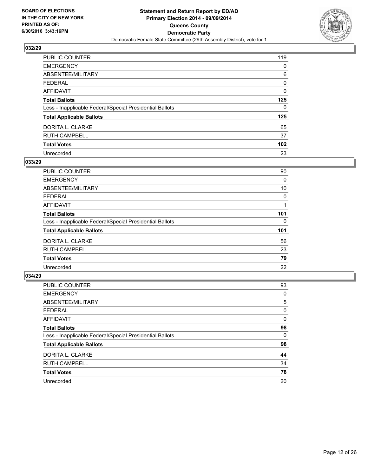

| PUBLIC COUNTER                                           | 119 |
|----------------------------------------------------------|-----|
| <b>EMERGENCY</b>                                         | 0   |
| ABSENTEE/MILITARY                                        | 6   |
| <b>FEDERAL</b>                                           | 0   |
| <b>AFFIDAVIT</b>                                         | 0   |
| <b>Total Ballots</b>                                     | 125 |
| Less - Inapplicable Federal/Special Presidential Ballots | 0   |
| <b>Total Applicable Ballots</b>                          | 125 |
| DORITA L. CLARKE                                         | 65  |
| <b>RUTH CAMPBELL</b>                                     | 37  |
| <b>Total Votes</b>                                       | 102 |
| Unrecorded                                               | 23  |

#### **033/29**

| PUBLIC COUNTER                                           | 90  |
|----------------------------------------------------------|-----|
| <b>EMERGENCY</b>                                         | 0   |
| ABSENTEE/MILITARY                                        | 10  |
| FEDERAL                                                  | 0   |
| <b>AFFIDAVIT</b>                                         |     |
| <b>Total Ballots</b>                                     | 101 |
| Less - Inapplicable Federal/Special Presidential Ballots | 0   |
| <b>Total Applicable Ballots</b>                          | 101 |
| DORITA L. CLARKE                                         | 56  |
| <b>RUTH CAMPBELL</b>                                     | 23  |
| <b>Total Votes</b>                                       | 79  |
| Unrecorded                                               | 22  |

| <b>PUBLIC COUNTER</b>                                    | 93 |
|----------------------------------------------------------|----|
| <b>EMERGENCY</b>                                         | 0  |
| ABSENTEE/MILITARY                                        | 5  |
| <b>FEDERAL</b>                                           | 0  |
| <b>AFFIDAVIT</b>                                         | 0  |
| <b>Total Ballots</b>                                     | 98 |
| Less - Inapplicable Federal/Special Presidential Ballots | 0  |
| <b>Total Applicable Ballots</b>                          | 98 |
| DORITA L. CLARKE                                         | 44 |
| <b>RUTH CAMPBELL</b>                                     | 34 |
| <b>Total Votes</b>                                       | 78 |
| Unrecorded                                               | 20 |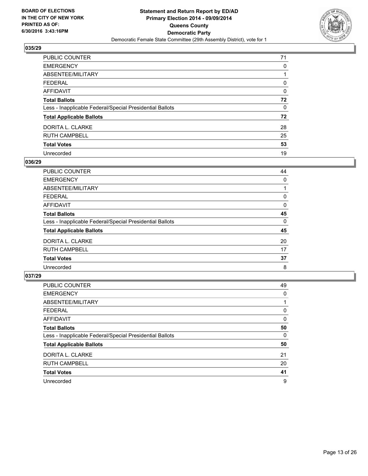

| <b>PUBLIC COUNTER</b>                                    | 71 |
|----------------------------------------------------------|----|
| <b>EMERGENCY</b>                                         | 0  |
| ABSENTEE/MILITARY                                        |    |
| <b>FEDERAL</b>                                           | 0  |
| <b>AFFIDAVIT</b>                                         | 0  |
| <b>Total Ballots</b>                                     | 72 |
| Less - Inapplicable Federal/Special Presidential Ballots | 0  |
| <b>Total Applicable Ballots</b>                          | 72 |
| DORITA L. CLARKE                                         | 28 |
| <b>RUTH CAMPBELL</b>                                     | 25 |
| <b>Total Votes</b>                                       | 53 |
| Unrecorded                                               | 19 |

#### **036/29**

| <b>PUBLIC COUNTER</b>                                    | 44 |
|----------------------------------------------------------|----|
| <b>EMERGENCY</b>                                         | 0  |
| ABSENTEE/MILITARY                                        |    |
| <b>FEDERAL</b>                                           | 0  |
| <b>AFFIDAVIT</b>                                         | 0  |
| <b>Total Ballots</b>                                     | 45 |
| Less - Inapplicable Federal/Special Presidential Ballots | 0  |
| <b>Total Applicable Ballots</b>                          | 45 |
| DORITA L. CLARKE                                         | 20 |
| <b>RUTH CAMPBELL</b>                                     | 17 |
| <b>Total Votes</b>                                       | 37 |
| Unrecorded                                               | 8  |
|                                                          |    |

| PUBLIC COUNTER                                           | 49 |
|----------------------------------------------------------|----|
| <b>EMERGENCY</b>                                         | 0  |
| ABSENTEE/MILITARY                                        |    |
| <b>FEDERAL</b>                                           | 0  |
| AFFIDAVIT                                                | 0  |
| <b>Total Ballots</b>                                     | 50 |
| Less - Inapplicable Federal/Special Presidential Ballots | 0  |
| <b>Total Applicable Ballots</b>                          | 50 |
| DORITA L. CLARKE                                         | 21 |
| <b>RUTH CAMPBELL</b>                                     | 20 |
| <b>Total Votes</b>                                       | 41 |
| Unrecorded                                               | 9  |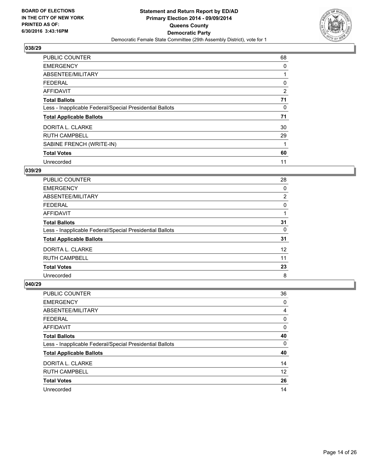

| <b>PUBLIC COUNTER</b>                                    | 68 |
|----------------------------------------------------------|----|
| <b>EMERGENCY</b>                                         | 0  |
| ABSENTEE/MILITARY                                        |    |
| FEDERAL                                                  | 0  |
| AFFIDAVIT                                                | 2  |
| <b>Total Ballots</b>                                     | 71 |
| Less - Inapplicable Federal/Special Presidential Ballots | 0  |
| <b>Total Applicable Ballots</b>                          | 71 |
| DORITA L. CLARKE                                         | 30 |
| <b>RUTH CAMPBELL</b>                                     | 29 |
| SABINE FRENCH (WRITE-IN)                                 |    |
| <b>Total Votes</b>                                       | 60 |
| Unrecorded                                               | 11 |

## **039/29**

| <b>PUBLIC COUNTER</b>                                    | 28                |
|----------------------------------------------------------|-------------------|
| <b>EMERGENCY</b>                                         | 0                 |
| ABSENTEE/MILITARY                                        | 2                 |
| <b>FEDERAL</b>                                           | 0                 |
| AFFIDAVIT                                                |                   |
| <b>Total Ballots</b>                                     | 31                |
| Less - Inapplicable Federal/Special Presidential Ballots | 0                 |
| <b>Total Applicable Ballots</b>                          | 31                |
| DORITA L. CLARKE                                         | $12 \overline{ }$ |
| <b>RUTH CAMPBELL</b>                                     | 11                |
| <b>Total Votes</b>                                       | 23                |
| Unrecorded                                               | 8                 |

| PUBLIC COUNTER                                           | 36 |
|----------------------------------------------------------|----|
| <b>EMERGENCY</b>                                         | 0  |
| ABSENTEE/MILITARY                                        | 4  |
| <b>FEDERAL</b>                                           | 0  |
| AFFIDAVIT                                                | 0  |
| <b>Total Ballots</b>                                     | 40 |
| Less - Inapplicable Federal/Special Presidential Ballots | 0  |
| <b>Total Applicable Ballots</b>                          | 40 |
| DORITA L. CLARKE                                         | 14 |
| <b>RUTH CAMPBELL</b>                                     | 12 |
| <b>Total Votes</b>                                       | 26 |
| Unrecorded                                               | 14 |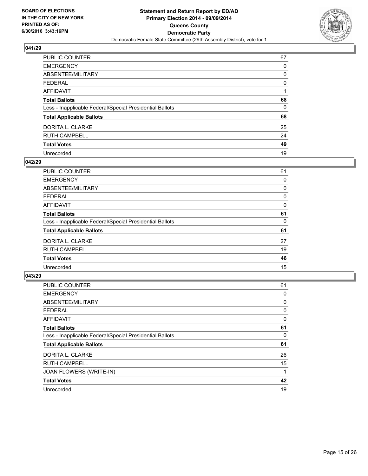

| <b>PUBLIC COUNTER</b>                                    | 67 |
|----------------------------------------------------------|----|
| <b>EMERGENCY</b>                                         | 0  |
| ABSENTEE/MILITARY                                        | 0  |
| <b>FEDERAL</b>                                           | 0  |
| <b>AFFIDAVIT</b>                                         |    |
| <b>Total Ballots</b>                                     | 68 |
| Less - Inapplicable Federal/Special Presidential Ballots | 0  |
| <b>Total Applicable Ballots</b>                          | 68 |
| DORITA L. CLARKE                                         | 25 |
| <b>RUTH CAMPBELL</b>                                     | 24 |
| <b>Total Votes</b>                                       | 49 |
| Unrecorded                                               | 19 |

#### **042/29**

| <b>PUBLIC COUNTER</b>                                    | 61 |
|----------------------------------------------------------|----|
| <b>EMERGENCY</b>                                         | 0  |
| ABSENTEE/MILITARY                                        | 0  |
| <b>FEDERAL</b>                                           | 0  |
| <b>AFFIDAVIT</b>                                         | 0  |
| <b>Total Ballots</b>                                     | 61 |
| Less - Inapplicable Federal/Special Presidential Ballots | 0  |
| <b>Total Applicable Ballots</b>                          | 61 |
| DORITA L. CLARKE                                         | 27 |
| <b>RUTH CAMPBELL</b>                                     | 19 |
| <b>Total Votes</b>                                       | 46 |
| Unrecorded                                               | 15 |

| <b>PUBLIC COUNTER</b>                                    | 61 |
|----------------------------------------------------------|----|
| <b>EMERGENCY</b>                                         | 0  |
| ABSENTEE/MILITARY                                        | 0  |
| <b>FEDERAL</b>                                           | 0  |
| <b>AFFIDAVIT</b>                                         | 0  |
| <b>Total Ballots</b>                                     | 61 |
| Less - Inapplicable Federal/Special Presidential Ballots | 0  |
| <b>Total Applicable Ballots</b>                          | 61 |
| DORITA L. CLARKE                                         | 26 |
| <b>RUTH CAMPBELL</b>                                     | 15 |
| JOAN FLOWERS (WRITE-IN)                                  |    |
| <b>Total Votes</b>                                       | 42 |
| Unrecorded                                               | 19 |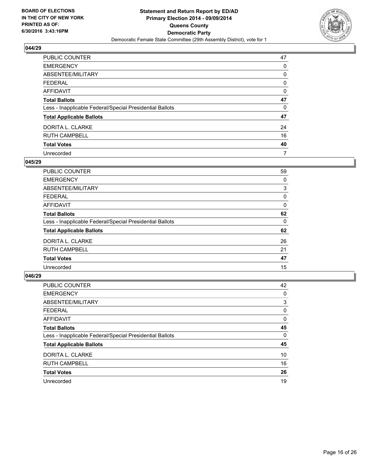

| <b>PUBLIC COUNTER</b>                                    | 47 |
|----------------------------------------------------------|----|
| <b>EMERGENCY</b>                                         | 0  |
| ABSENTEE/MILITARY                                        | 0  |
| <b>FEDERAL</b>                                           | 0  |
| <b>AFFIDAVIT</b>                                         | 0  |
| <b>Total Ballots</b>                                     | 47 |
| Less - Inapplicable Federal/Special Presidential Ballots | 0  |
| <b>Total Applicable Ballots</b>                          | 47 |
| DORITA L. CLARKE                                         | 24 |
| <b>RUTH CAMPBELL</b>                                     | 16 |
| <b>Total Votes</b>                                       | 40 |
| Unrecorded                                               | 7  |

#### **045/29**

| <b>PUBLIC COUNTER</b>                                    | 59 |
|----------------------------------------------------------|----|
| <b>EMERGENCY</b>                                         | 0  |
| ABSENTEE/MILITARY                                        | 3  |
| <b>FEDERAL</b>                                           | 0  |
| <b>AFFIDAVIT</b>                                         | 0  |
| <b>Total Ballots</b>                                     | 62 |
| Less - Inapplicable Federal/Special Presidential Ballots | 0  |
| <b>Total Applicable Ballots</b>                          | 62 |
| DORITA L. CLARKE                                         | 26 |
| <b>RUTH CAMPBELL</b>                                     | 21 |
| <b>Total Votes</b>                                       | 47 |
| Unrecorded                                               | 15 |
|                                                          |    |

| PUBLIC COUNTER                                           | 42 |
|----------------------------------------------------------|----|
| <b>EMERGENCY</b>                                         | 0  |
| ABSENTEE/MILITARY                                        | 3  |
| <b>FEDERAL</b>                                           | 0  |
| <b>AFFIDAVIT</b>                                         | 0  |
| <b>Total Ballots</b>                                     | 45 |
| Less - Inapplicable Federal/Special Presidential Ballots | 0  |
| <b>Total Applicable Ballots</b>                          | 45 |
| DORITA L. CLARKE                                         | 10 |
| <b>RUTH CAMPBELL</b>                                     | 16 |
| <b>Total Votes</b>                                       | 26 |
| Unrecorded                                               | 19 |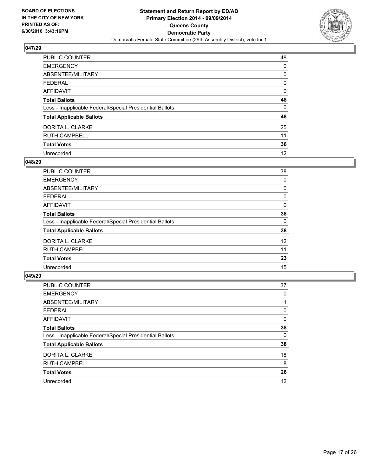

| <b>PUBLIC COUNTER</b>                                    | 48 |
|----------------------------------------------------------|----|
| <b>EMERGENCY</b>                                         | 0  |
| ABSENTEE/MILITARY                                        | 0  |
| <b>FEDERAL</b>                                           | 0  |
| <b>AFFIDAVIT</b>                                         | 0  |
| <b>Total Ballots</b>                                     | 48 |
| Less - Inapplicable Federal/Special Presidential Ballots | 0  |
| <b>Total Applicable Ballots</b>                          | 48 |
| DORITA L. CLARKE                                         | 25 |
| <b>RUTH CAMPBELL</b>                                     | 11 |
| <b>Total Votes</b>                                       | 36 |
| Unrecorded                                               | 12 |

#### **048/29**

| <b>PUBLIC COUNTER</b>                                    | 38 |
|----------------------------------------------------------|----|
| <b>EMERGENCY</b>                                         | 0  |
| ABSENTEE/MILITARY                                        | 0  |
| <b>FEDERAL</b>                                           | 0  |
| <b>AFFIDAVIT</b>                                         | 0  |
| <b>Total Ballots</b>                                     | 38 |
| Less - Inapplicable Federal/Special Presidential Ballots | 0  |
| <b>Total Applicable Ballots</b>                          | 38 |
| DORITA L. CLARKE                                         | 12 |
| <b>RUTH CAMPBELL</b>                                     | 11 |
| <b>Total Votes</b>                                       | 23 |
| Unrecorded                                               | 15 |
|                                                          |    |

| PUBLIC COUNTER                                           | 37 |
|----------------------------------------------------------|----|
| <b>EMERGENCY</b>                                         | 0  |
| ABSENTEE/MILITARY                                        |    |
| <b>FEDERAL</b>                                           | 0  |
| <b>AFFIDAVIT</b>                                         | 0  |
| <b>Total Ballots</b>                                     | 38 |
| Less - Inapplicable Federal/Special Presidential Ballots | 0  |
| <b>Total Applicable Ballots</b>                          | 38 |
| DORITA L. CLARKE                                         | 18 |
| <b>RUTH CAMPBELL</b>                                     | 8  |
| <b>Total Votes</b>                                       | 26 |
| Unrecorded                                               | 12 |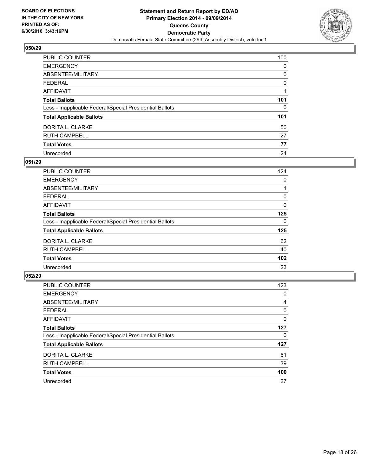

| <b>PUBLIC COUNTER</b>                                    | 100 |
|----------------------------------------------------------|-----|
| <b>EMERGENCY</b>                                         | 0   |
| ABSENTEE/MILITARY                                        | 0   |
| <b>FEDERAL</b>                                           | 0   |
| <b>AFFIDAVIT</b>                                         |     |
| <b>Total Ballots</b>                                     | 101 |
| Less - Inapplicable Federal/Special Presidential Ballots | 0   |
| <b>Total Applicable Ballots</b>                          | 101 |
| DORITA L. CLARKE                                         | 50  |
| <b>RUTH CAMPBELL</b>                                     | 27  |
| <b>Total Votes</b>                                       | 77  |
| Unrecorded                                               | 24  |

#### **051/29**

| <b>PUBLIC COUNTER</b>                                    | 124 |
|----------------------------------------------------------|-----|
| <b>EMERGENCY</b>                                         | 0   |
| ABSENTEE/MILITARY                                        |     |
| FEDERAL                                                  | 0   |
| AFFIDAVIT                                                | 0   |
| <b>Total Ballots</b>                                     | 125 |
| Less - Inapplicable Federal/Special Presidential Ballots | 0   |
| <b>Total Applicable Ballots</b>                          | 125 |
| DORITA L. CLARKE                                         | 62  |
| <b>RUTH CAMPBELL</b>                                     | 40  |
| <b>Total Votes</b>                                       | 102 |
| Unrecorded                                               | 23  |

| PUBLIC COUNTER                                           | 123 |
|----------------------------------------------------------|-----|
| <b>EMERGENCY</b>                                         | 0   |
| ABSENTEE/MILITARY                                        | 4   |
| <b>FEDERAL</b>                                           | 0   |
| AFFIDAVIT                                                | 0   |
| <b>Total Ballots</b>                                     | 127 |
| Less - Inapplicable Federal/Special Presidential Ballots | 0   |
| <b>Total Applicable Ballots</b>                          | 127 |
| DORITA L. CLARKE                                         | 61  |
| <b>RUTH CAMPBELL</b>                                     | 39  |
| <b>Total Votes</b>                                       | 100 |
| Unrecorded                                               | 27  |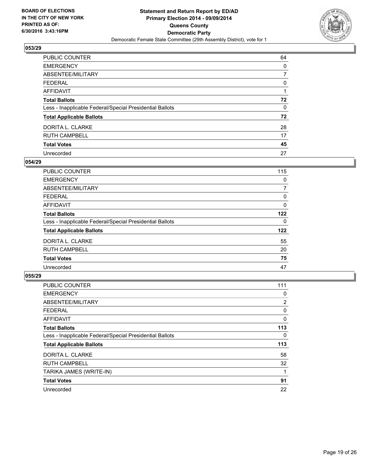

| <b>PUBLIC COUNTER</b>                                    | 64 |
|----------------------------------------------------------|----|
| <b>EMERGENCY</b>                                         | 0  |
| ABSENTEE/MILITARY                                        |    |
| <b>FEDERAL</b>                                           | 0  |
| <b>AFFIDAVIT</b>                                         |    |
| <b>Total Ballots</b>                                     | 72 |
| Less - Inapplicable Federal/Special Presidential Ballots | 0  |
| <b>Total Applicable Ballots</b>                          | 72 |
| DORITA L. CLARKE                                         | 28 |
| <b>RUTH CAMPBELL</b>                                     | 17 |
| <b>Total Votes</b>                                       | 45 |
| Unrecorded                                               | 27 |

#### **054/29**

| <b>PUBLIC COUNTER</b>                                    | 115 |
|----------------------------------------------------------|-----|
| <b>EMERGENCY</b>                                         | 0   |
| ABSENTEE/MILITARY                                        | 7   |
| <b>FEDERAL</b>                                           | 0   |
| AFFIDAVIT                                                | 0   |
| <b>Total Ballots</b>                                     | 122 |
| Less - Inapplicable Federal/Special Presidential Ballots | 0   |
| <b>Total Applicable Ballots</b>                          | 122 |
| DORITA L. CLARKE                                         | 55  |
| <b>RUTH CAMPBELL</b>                                     | 20  |
| <b>Total Votes</b>                                       | 75  |
| Unrecorded                                               | 47  |
|                                                          |     |

| <b>PUBLIC COUNTER</b>                                    | 111            |
|----------------------------------------------------------|----------------|
| <b>EMERGENCY</b>                                         | 0              |
| ABSENTEE/MILITARY                                        | $\overline{2}$ |
| <b>FEDERAL</b>                                           | 0              |
| <b>AFFIDAVIT</b>                                         | 0              |
| <b>Total Ballots</b>                                     | 113            |
| Less - Inapplicable Federal/Special Presidential Ballots | 0              |
| <b>Total Applicable Ballots</b>                          | 113            |
| DORITA L. CLARKE                                         | 58             |
| <b>RUTH CAMPBELL</b>                                     | 32             |
| TARIKA JAMES (WRITE-IN)                                  |                |
| <b>Total Votes</b>                                       | 91             |
| Unrecorded                                               | 22             |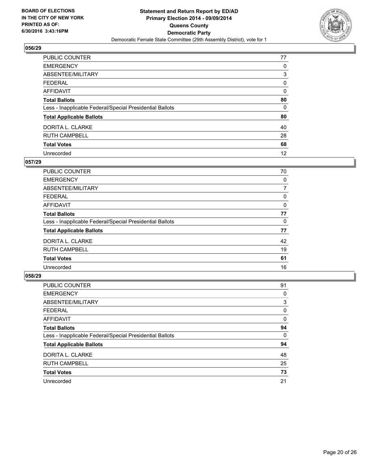

| <b>PUBLIC COUNTER</b>                                    | 77 |
|----------------------------------------------------------|----|
| <b>EMERGENCY</b>                                         | 0  |
| ABSENTEE/MILITARY                                        | 3  |
| <b>FEDERAL</b>                                           | 0  |
| <b>AFFIDAVIT</b>                                         | 0  |
| <b>Total Ballots</b>                                     | 80 |
| Less - Inapplicable Federal/Special Presidential Ballots | 0  |
| <b>Total Applicable Ballots</b>                          | 80 |
| DORITA L. CLARKE                                         | 40 |
| <b>RUTH CAMPBELL</b>                                     | 28 |
| <b>Total Votes</b>                                       | 68 |
| Unrecorded                                               | 12 |

## **057/29**

| PUBLIC COUNTER                                           | 70 |
|----------------------------------------------------------|----|
| <b>EMERGENCY</b>                                         | 0  |
| ABSENTEE/MILITARY                                        | 7  |
| <b>FEDERAL</b>                                           | 0  |
| <b>AFFIDAVIT</b>                                         | 0  |
| <b>Total Ballots</b>                                     | 77 |
| Less - Inapplicable Federal/Special Presidential Ballots | 0  |
| <b>Total Applicable Ballots</b>                          | 77 |
| DORITA L. CLARKE                                         | 42 |
| <b>RUTH CAMPBELL</b>                                     | 19 |
| <b>Total Votes</b>                                       | 61 |
| Unrecorded                                               | 16 |
|                                                          |    |

| PUBLIC COUNTER                                           | 91 |
|----------------------------------------------------------|----|
| <b>EMERGENCY</b>                                         | 0  |
| ABSENTEE/MILITARY                                        | 3  |
| <b>FEDERAL</b>                                           | 0  |
| AFFIDAVIT                                                | 0  |
| <b>Total Ballots</b>                                     | 94 |
| Less - Inapplicable Federal/Special Presidential Ballots | 0  |
| <b>Total Applicable Ballots</b>                          | 94 |
| DORITA L. CLARKE                                         | 48 |
| <b>RUTH CAMPBELL</b>                                     | 25 |
| <b>Total Votes</b>                                       | 73 |
| Unrecorded                                               | 21 |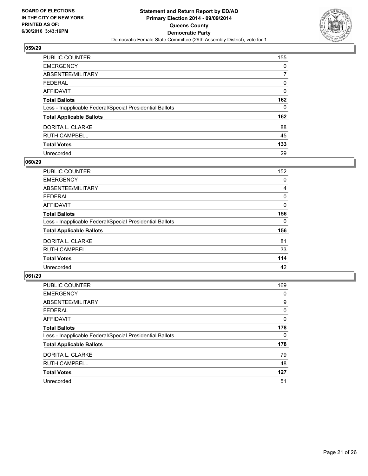

| <b>PUBLIC COUNTER</b>                                    | 155 |
|----------------------------------------------------------|-----|
| <b>EMERGENCY</b>                                         | 0   |
| ABSENTEE/MILITARY                                        | 7   |
| <b>FEDERAL</b>                                           | 0   |
| <b>AFFIDAVIT</b>                                         | 0   |
| <b>Total Ballots</b>                                     | 162 |
| Less - Inapplicable Federal/Special Presidential Ballots | 0   |
| <b>Total Applicable Ballots</b>                          | 162 |
| DORITA L. CLARKE                                         | 88  |
| <b>RUTH CAMPBELL</b>                                     | 45  |
| <b>Total Votes</b>                                       | 133 |
| Unrecorded                                               | 29  |

#### **060/29**

| <b>PUBLIC COUNTER</b>                                    | 152 |
|----------------------------------------------------------|-----|
| <b>EMERGENCY</b>                                         | 0   |
| ABSENTEE/MILITARY                                        | 4   |
| <b>FEDERAL</b>                                           | 0   |
| AFFIDAVIT                                                | 0   |
| <b>Total Ballots</b>                                     | 156 |
| Less - Inapplicable Federal/Special Presidential Ballots | 0   |
| <b>Total Applicable Ballots</b>                          | 156 |
| DORITA L. CLARKE                                         | 81  |
| <b>RUTH CAMPBELL</b>                                     | 33  |
| <b>Total Votes</b>                                       | 114 |
| Unrecorded                                               | 42  |
|                                                          |     |

| PUBLIC COUNTER                                           | 169 |
|----------------------------------------------------------|-----|
| <b>EMERGENCY</b>                                         | 0   |
| ABSENTEE/MILITARY                                        | 9   |
| <b>FEDERAL</b>                                           | 0   |
| <b>AFFIDAVIT</b>                                         | 0   |
| <b>Total Ballots</b>                                     | 178 |
| Less - Inapplicable Federal/Special Presidential Ballots | 0   |
| <b>Total Applicable Ballots</b>                          | 178 |
| DORITA L. CLARKE                                         | 79  |
| <b>RUTH CAMPBELL</b>                                     | 48  |
| <b>Total Votes</b>                                       | 127 |
| Unrecorded                                               | 51  |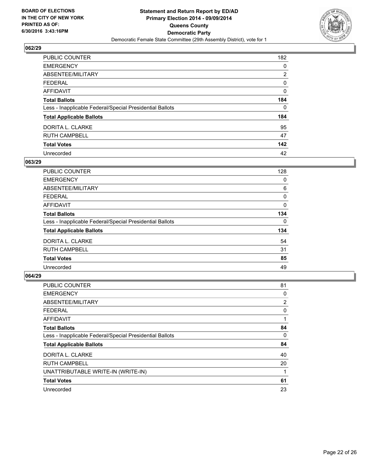

| <b>PUBLIC COUNTER</b>                                    | 182            |
|----------------------------------------------------------|----------------|
| <b>EMERGENCY</b>                                         | 0              |
| ABSENTEE/MILITARY                                        | $\overline{2}$ |
| <b>FEDERAL</b>                                           | 0              |
| <b>AFFIDAVIT</b>                                         | 0              |
| <b>Total Ballots</b>                                     | 184            |
| Less - Inapplicable Federal/Special Presidential Ballots | 0              |
| <b>Total Applicable Ballots</b>                          | 184            |
| DORITA L. CLARKE                                         | 95             |
| <b>RUTH CAMPBELL</b>                                     | 47             |
| <b>Total Votes</b>                                       | 142            |
| Unrecorded                                               | 42             |

#### **063/29**

| PUBLIC COUNTER                                           | 128 |
|----------------------------------------------------------|-----|
| <b>EMERGENCY</b>                                         | 0   |
| ABSENTEE/MILITARY                                        | 6   |
| <b>FEDERAL</b>                                           | 0   |
| AFFIDAVIT                                                | 0   |
| <b>Total Ballots</b>                                     | 134 |
| Less - Inapplicable Federal/Special Presidential Ballots | 0   |
| <b>Total Applicable Ballots</b>                          | 134 |
| DORITA L. CLARKE                                         | 54  |
| <b>RUTH CAMPBELL</b>                                     | 31  |
| <b>Total Votes</b>                                       | 85  |
| Unrecorded                                               | 49  |
|                                                          |     |

| PUBLIC COUNTER                                           | 81 |
|----------------------------------------------------------|----|
| <b>EMERGENCY</b>                                         | 0  |
| ABSENTEE/MILITARY                                        | 2  |
| <b>FEDERAL</b>                                           | 0  |
| <b>AFFIDAVIT</b>                                         |    |
| <b>Total Ballots</b>                                     | 84 |
| Less - Inapplicable Federal/Special Presidential Ballots | 0  |
| <b>Total Applicable Ballots</b>                          | 84 |
| DORITA L. CLARKE                                         | 40 |
| <b>RUTH CAMPBELL</b>                                     | 20 |
| UNATTRIBUTABLE WRITE-IN (WRITE-IN)                       |    |
| <b>Total Votes</b>                                       | 61 |
| Unrecorded                                               | 23 |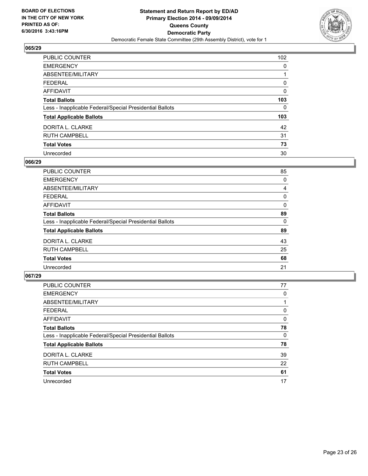

| <b>PUBLIC COUNTER</b>                                    | 102 |
|----------------------------------------------------------|-----|
| <b>EMERGENCY</b>                                         | 0   |
| ABSENTEE/MILITARY                                        |     |
| <b>FEDERAL</b>                                           | 0   |
| <b>AFFIDAVIT</b>                                         | 0   |
| <b>Total Ballots</b>                                     | 103 |
| Less - Inapplicable Federal/Special Presidential Ballots | 0   |
| <b>Total Applicable Ballots</b>                          | 103 |
| DORITA L. CLARKE                                         | 42  |
| <b>RUTH CAMPBELL</b>                                     | 31  |
| <b>Total Votes</b>                                       | 73  |
| Unrecorded                                               | 30  |

#### **066/29**

| PUBLIC COUNTER                                           | 85 |
|----------------------------------------------------------|----|
| <b>EMERGENCY</b>                                         | 0  |
| ABSENTEE/MILITARY                                        | 4  |
| <b>FEDERAL</b>                                           | 0  |
| <b>AFFIDAVIT</b>                                         | 0  |
| <b>Total Ballots</b>                                     | 89 |
| Less - Inapplicable Federal/Special Presidential Ballots | 0  |
| <b>Total Applicable Ballots</b>                          | 89 |
| DORITA L. CLARKE                                         | 43 |
| <b>RUTH CAMPBELL</b>                                     | 25 |
| <b>Total Votes</b>                                       | 68 |
| Unrecorded                                               | 21 |
|                                                          |    |

| PUBLIC COUNTER                                           | 77 |
|----------------------------------------------------------|----|
| <b>EMERGENCY</b>                                         | 0  |
| ABSENTEE/MILITARY                                        |    |
| <b>FEDERAL</b>                                           | 0  |
| <b>AFFIDAVIT</b>                                         | 0  |
| <b>Total Ballots</b>                                     | 78 |
| Less - Inapplicable Federal/Special Presidential Ballots | 0  |
| <b>Total Applicable Ballots</b>                          | 78 |
| DORITA L. CLARKE                                         | 39 |
| <b>RUTH CAMPBELL</b>                                     | 22 |
| <b>Total Votes</b>                                       | 61 |
| Unrecorded                                               | 17 |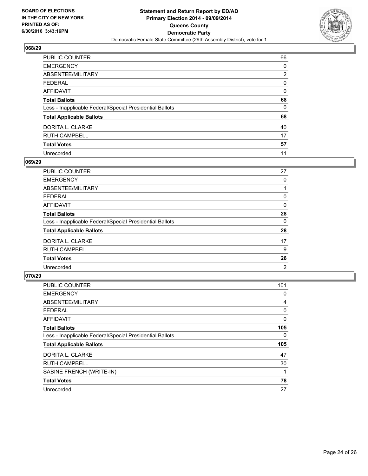

| <b>PUBLIC COUNTER</b>                                    | 66             |
|----------------------------------------------------------|----------------|
| <b>EMERGENCY</b>                                         | 0              |
| ABSENTEE/MILITARY                                        | $\overline{2}$ |
| <b>FEDERAL</b>                                           | 0              |
| <b>AFFIDAVIT</b>                                         | 0              |
| <b>Total Ballots</b>                                     | 68             |
| Less - Inapplicable Federal/Special Presidential Ballots | 0              |
| <b>Total Applicable Ballots</b>                          | 68             |
| DORITA L. CLARKE                                         | 40             |
| <b>RUTH CAMPBELL</b>                                     | 17             |
| <b>Total Votes</b>                                       | 57             |
| Unrecorded                                               | 11             |

#### **069/29**

| PUBLIC COUNTER                                           | 27 |
|----------------------------------------------------------|----|
| <b>EMERGENCY</b>                                         | 0  |
| ABSENTEE/MILITARY                                        |    |
| <b>FEDERAL</b>                                           | 0  |
| <b>AFFIDAVIT</b>                                         | 0  |
| <b>Total Ballots</b>                                     | 28 |
| Less - Inapplicable Federal/Special Presidential Ballots | 0  |
| <b>Total Applicable Ballots</b>                          | 28 |
| DORITA L. CLARKE                                         | 17 |
| <b>RUTH CAMPBELL</b>                                     | 9  |
| <b>Total Votes</b>                                       | 26 |
| Unrecorded                                               | 2  |
|                                                          |    |

| <b>PUBLIC COUNTER</b>                                    | 101 |
|----------------------------------------------------------|-----|
| <b>EMERGENCY</b>                                         | 0   |
| ABSENTEE/MILITARY                                        | 4   |
| <b>FEDERAL</b>                                           | 0   |
| AFFIDAVIT                                                | 0   |
| <b>Total Ballots</b>                                     | 105 |
| Less - Inapplicable Federal/Special Presidential Ballots | 0   |
| <b>Total Applicable Ballots</b>                          | 105 |
| DORITA L. CLARKE                                         | 47  |
| <b>RUTH CAMPBELL</b>                                     | 30  |
| SABINE FRENCH (WRITE-IN)                                 |     |
| <b>Total Votes</b>                                       | 78  |
| Unrecorded                                               | 27  |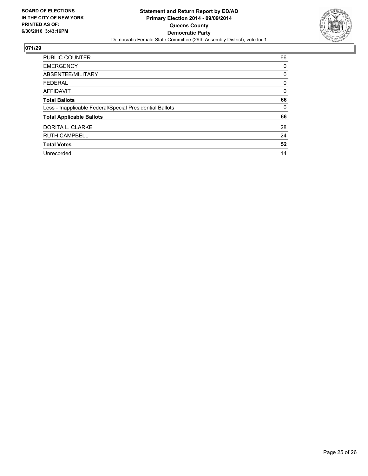

| <b>PUBLIC COUNTER</b>                                    | 66 |
|----------------------------------------------------------|----|
| <b>EMERGENCY</b>                                         | 0  |
| ABSENTEE/MILITARY                                        | 0  |
| <b>FEDERAL</b>                                           | 0  |
| <b>AFFIDAVIT</b>                                         | 0  |
| <b>Total Ballots</b>                                     | 66 |
| Less - Inapplicable Federal/Special Presidential Ballots | 0  |
| <b>Total Applicable Ballots</b>                          | 66 |
| DORITA L. CLARKE                                         | 28 |
| <b>RUTH CAMPBELL</b>                                     | 24 |
| <b>Total Votes</b>                                       | 52 |
| Unrecorded                                               | 14 |